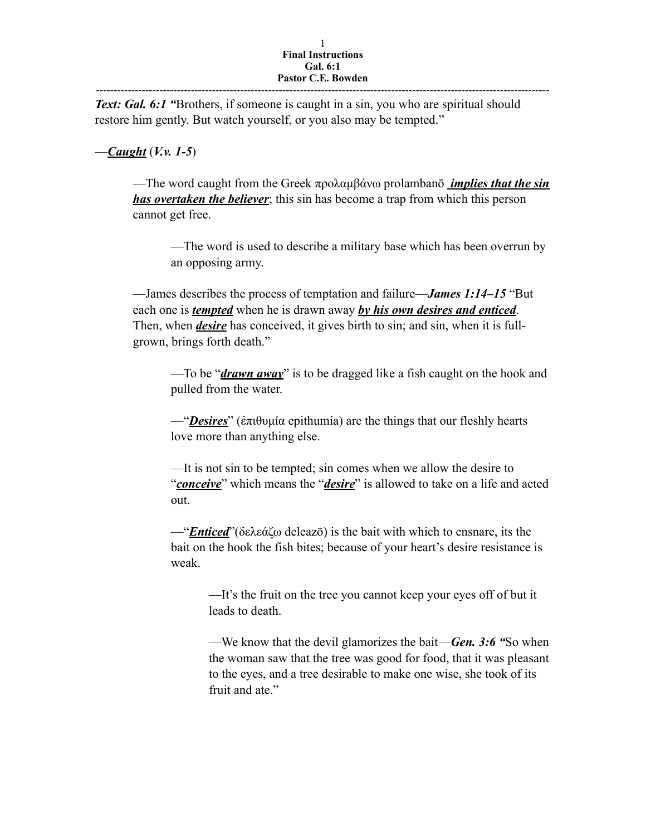## 1 **Final Instructions Gal. 6:1 Pastor C.E. Bowden** ---------------------------------------------------------------------------------------------------------------------------------

**Text: Gal. 6:1 "Brothers, if someone is caught in a sin, you who are spiritual should** restore him gently. But watch yourself, or you also may be tempted."

## —*Caught* (*V.v. 1-5*)

—The word caught from the Greek προλαµβάνω prolambanō *implies that the sin has overtaken the believer*; this sin has become a trap from which this person cannot get free.

—The word is used to describe a military base which has been overrun by an opposing army.

—James describes the process of temptation and failure—*James 1:14–15* "But each one is *tempted* when he is drawn away *by his own desires and enticed*. Then, when *desire* has conceived, it gives birth to sin; and sin, when it is fullgrown, brings forth death."

—To be "*drawn away*" is to be dragged like a fish caught on the hook and pulled from the water.

—"*Desires*" (ἐπιθυµία epithumia) are the things that our fleshly hearts love more than anything else.

—It is not sin to be tempted; sin comes when we allow the desire to "*conceive*" which means the "*desire*" is allowed to take on a life and acted out.

—"*Enticed*"(δελεάζω deleazō) is the bait with which to ensnare, its the bait on the hook the fish bites; because of your heart's desire resistance is weak.

> —It's the fruit on the tree you cannot keep your eyes off of but it leads to death.

—We know that the devil glamorizes the bait—*Gen. 3:6 "*So when the woman saw that the tree was good for food, that it was pleasant to the eyes, and a tree desirable to make one wise, she took of its fruit and ate."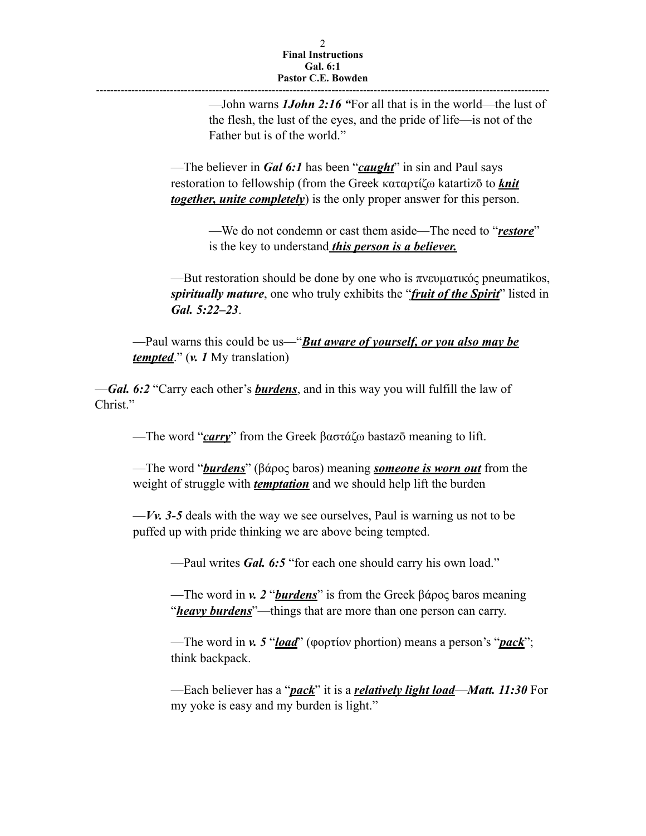---------------------------------------------------------------------------------------------------------------------------------

—John warns *1John 2:16 "*For all that is in the world—the lust of the flesh, the lust of the eyes, and the pride of life—is not of the Father but is of the world."

—The believer in *Gal 6:1* has been "*caught*" in sin and Paul says restoration to fellowship (from the Greek καταρτίζω katartizō to *knit together, unite completely*) is the only proper answer for this person.

> —We do not condemn or cast them aside—The need to "*restore*" is the key to understand *this person is a believer.*

—But restoration should be done by one who is πνευματικός pneumatikos, *spiritually mature*, one who truly exhibits the "*fruit of the Spirit*" listed in *Gal. 5:22–23*.

—Paul warns this could be us—"*But aware of yourself, or you also may be tempted*." (*v. 1* My translation)

—*Gal. 6:2* "Carry each other's *burdens*, and in this way you will fulfill the law of Christ."

—The word "*carry*" from the Greek βαστάζω bastazō meaning to lift.

—The word "*burdens*" (βάρος baros) meaning *someone is worn out* from the weight of struggle with *temptation* and we should help lift the burden

—*Vv. 3-5* deals with the way we see ourselves, Paul is warning us not to be puffed up with pride thinking we are above being tempted.

—Paul writes *Gal. 6:5* "for each one should carry his own load."

—The word in *v. 2* "*burdens*" is from the Greek βάρος baros meaning "*heavy burdens*"—things that are more than one person can carry.

—The word in *v. 5* "*load*" (φορτίον phortion) means a person's "*pack*"; think backpack.

—Each believer has a "*pack*" it is a *relatively light load*—*Matt. 11:30* For my yoke is easy and my burden is light."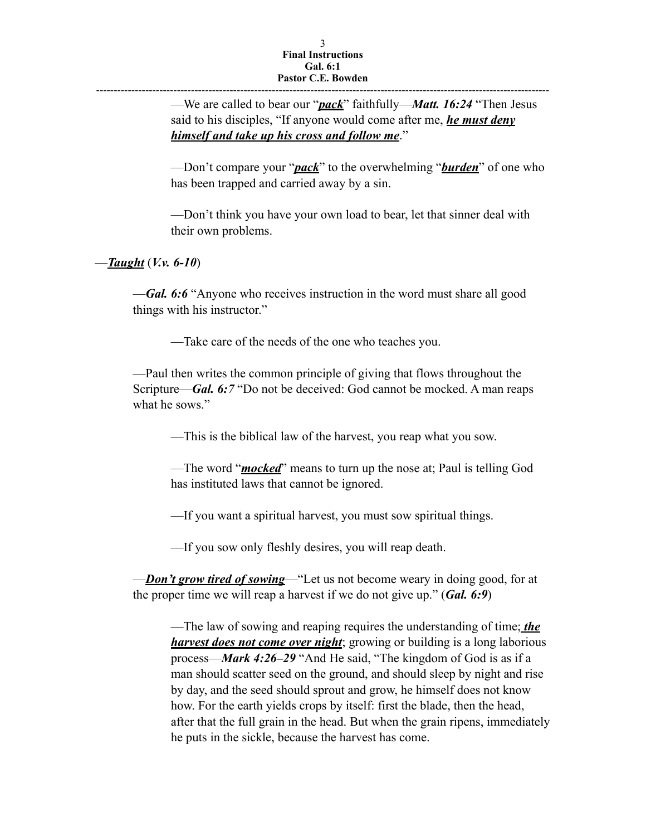---------------------------------------------------------------------------------------------------------------------------------

—We are called to bear our "*pack*" faithfully—*Matt. 16:24* "Then Jesus said to his disciples, "If anyone would come after me, *he must deny himself and take up his cross and follow me*."

—Don't compare your "*pack*" to the overwhelming "*burden*" of one who has been trapped and carried away by a sin.

—Don't think you have your own load to bear, let that sinner deal with their own problems.

## —*Taught* (*V.v. 6-10*)

—*Gal. 6:6* "Anyone who receives instruction in the word must share all good things with his instructor."

—Take care of the needs of the one who teaches you.

—Paul then writes the common principle of giving that flows throughout the Scripture—*Gal. 6:7* "Do not be deceived: God cannot be mocked. A man reaps what he sows."

—This is the biblical law of the harvest, you reap what you sow.

—The word "*mocked*" means to turn up the nose at; Paul is telling God has instituted laws that cannot be ignored.

—If you want a spiritual harvest, you must sow spiritual things.

—If you sow only fleshly desires, you will reap death.

—*Don't grow tired of sowing*—"Let us not become weary in doing good, for at the proper time we will reap a harvest if we do not give up." (*Gal. 6:9*)

—The law of sowing and reaping requires the understanding of time; *the harvest does not come over night*; growing or building is a long laborious process—*Mark 4:26–29* "And He said, "The kingdom of God is as if a man should scatter seed on the ground, and should sleep by night and rise by day, and the seed should sprout and grow, he himself does not know how. For the earth yields crops by itself: first the blade, then the head, after that the full grain in the head. But when the grain ripens, immediately he puts in the sickle, because the harvest has come.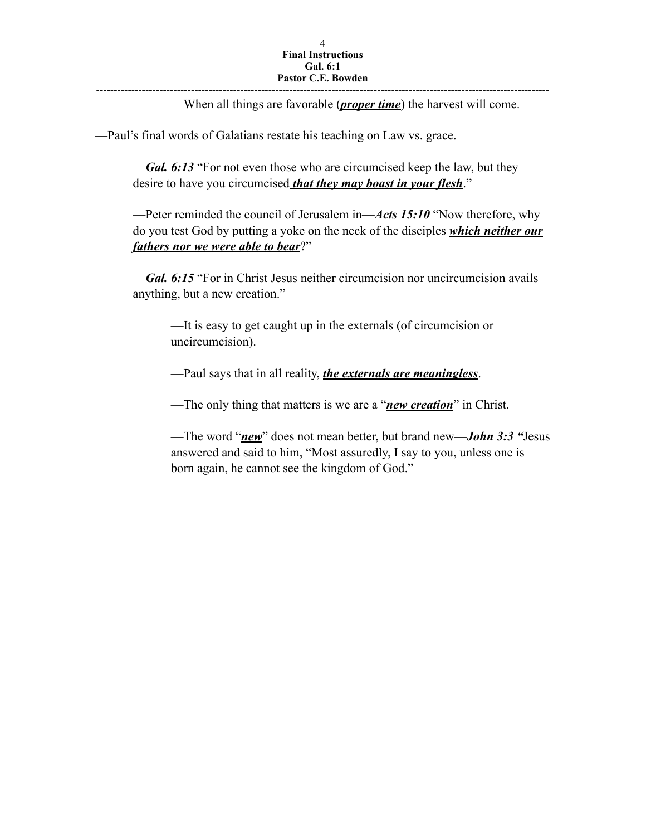---------------------------------------------------------------------------------------------------------------------------------

—When all things are favorable (*proper time*) the harvest will come.

—Paul's final words of Galatians restate his teaching on Law vs. grace.

—*Gal. 6:13* "For not even those who are circumcised keep the law, but they desire to have you circumcised *that they may boast in your flesh*."

—Peter reminded the council of Jerusalem in—*Acts 15:10* "Now therefore, why do you test God by putting a yoke on the neck of the disciples *which neither our fathers nor we were able to bear*?"

—*Gal. 6:15* "For in Christ Jesus neither circumcision nor uncircumcision avails anything, but a new creation."

—It is easy to get caught up in the externals (of circumcision or uncircumcision).

—Paul says that in all reality, *the externals are meaningless*.

—The only thing that matters is we are a "*new creation*" in Christ.

—The word "*new*" does not mean better, but brand new—*John 3:3 "*Jesus answered and said to him, "Most assuredly, I say to you, unless one is born again, he cannot see the kingdom of God."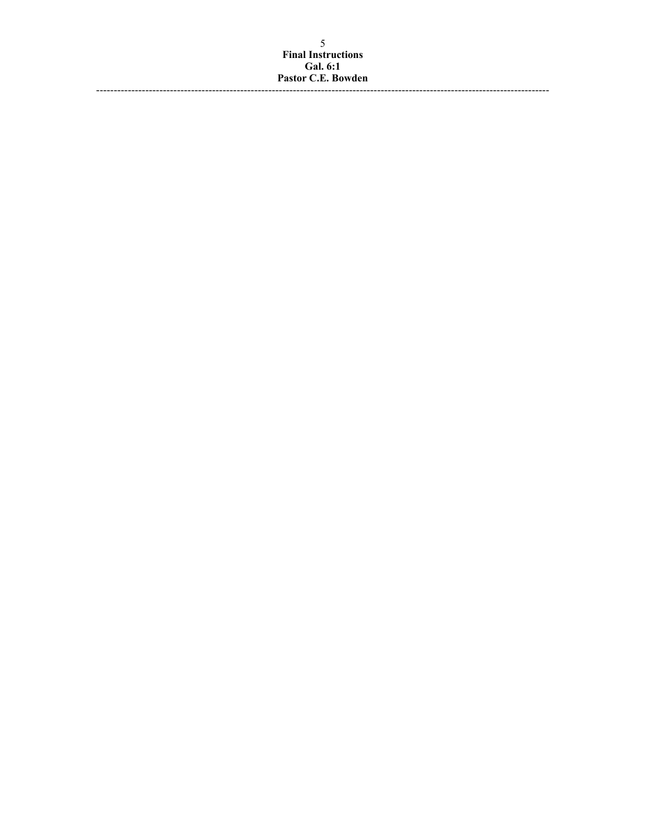$\frac{5}{5}$  Final Instructions Gal. 6:1 Pastor C.E. Bowden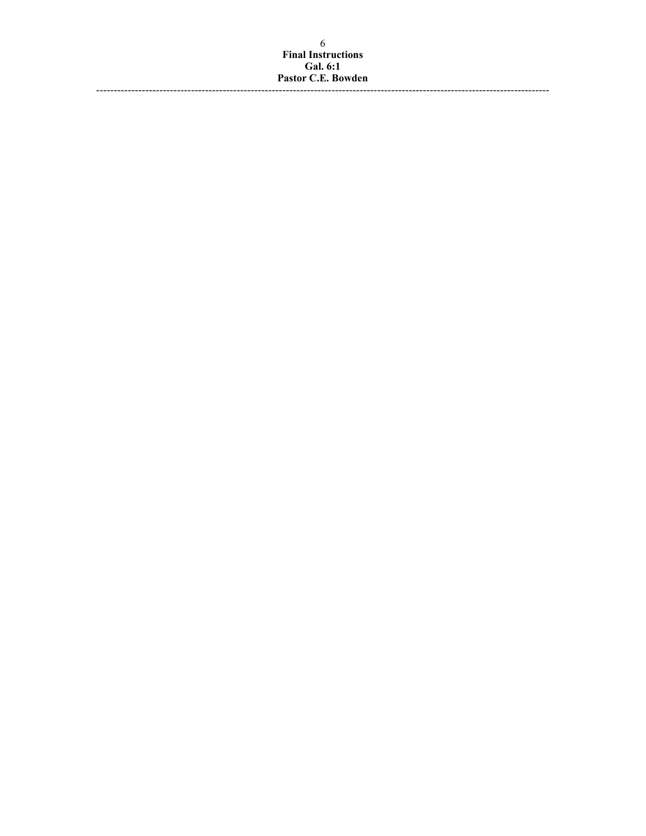$\sqrt{6}$ **Final Instructions Gal. 6:1** Pastor C.E. Bowden